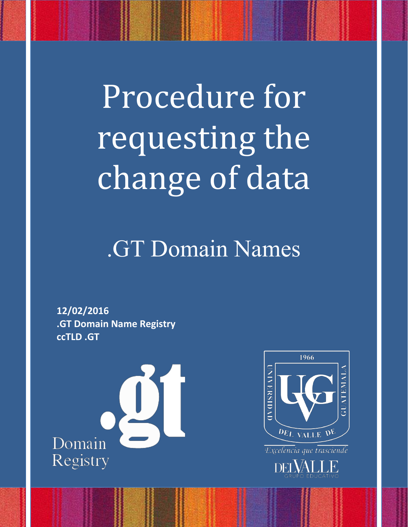Procedure for requesting the change of data

.GT Domain Names

**12/02/2016 .GT Domain Name Registry ccTLD .GT**



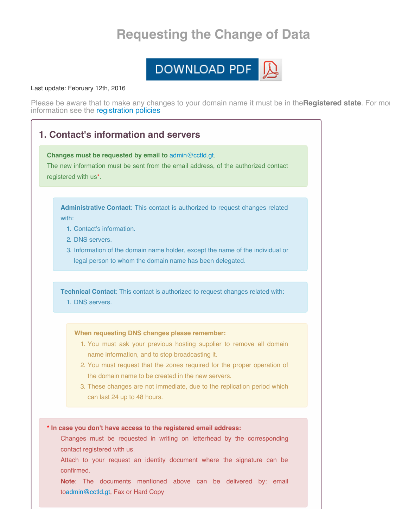## **Requesting the Change of Data**

# DOWNLOAD PDF

#### Last update: February 12th, 2016

Please be aware that to make any changes to your domain name it must be in the**Registered state**. For more information see the [registration](http://www.gt/registration_policy.php#estados?lang=en) policies

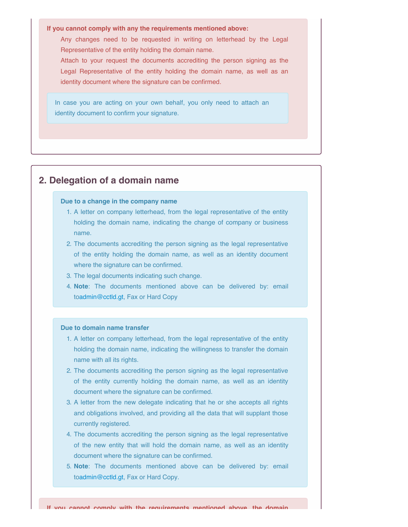#### **If you cannot comply with any the requirements mentioned above:**

Any changes need to be requested in writing on letterhead by the Legal Representative of the entity holding the domain name.

Attach to your request the documents accrediting the person signing as the Legal Representative of the entity holding the domain name, as well as an identity document where the signature can be confirmed.

In case you are acting on your own behalf, you only need to attach an identity document to confirm your signature.

### **2. Delegation of a domain name**

#### **Due to a change in the company name**

- 1. A letter on company letterhead, from the legal representative of the entity holding the domain name, indicating the change of company or business name.
- 2. The documents accrediting the person signing as the legal representative of the entity holding the domain name, as well as an identity document where the signature can be confirmed.
- 3. The legal documents indicating such change.
- 4. **Note**: The documents mentioned above can be delivered by: email t[oadmin@cctld.gt,](mailto:admin@cctld.gt) Fax or Hard Copy

#### **Due to domain name transfer**

- 1. A letter on company letterhead, from the legal representative of the entity holding the domain name, indicating the willingness to transfer the domain name with all its rights.
- 2. The documents accrediting the person signing as the legal representative of the entity currently holding the domain name, as well as an identity document where the signature can be confirmed.
- 3. A letter from the new delegate indicating that he or she accepts all rights and obligations involved, and providing all the data that will supplant those currently registered.
- 4. The documents accrediting the person signing as the legal representative of the new entity that will hold the domain name, as well as an identity document where the signature can be confirmed.
- 5. **Note**: The documents mentioned above can be delivered by: email t[oadmin@cctld.gt,](mailto:admin@cctld.gt) Fax or Hard Copy.

**If you cannot comply with the requirements mentioned above, the domain**